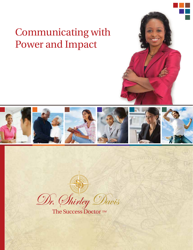## Communicating with Power and Impact



 $\mathcal{D}$ r. *Shirley*  $\mathcal{D}$ avis<br>The Success Doctor ™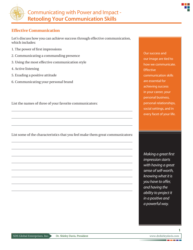

## **Effective Communication**

Let's discuss how you can achieve success through effective communication, which includes:

- 1. The power of first impressions
- 2. Communicating a commanding presence
- 3. Using the most effective communication style
- 4. Active listening
- 5. Exuding a positive attitude
- 6. Communicating your personal brand

List the names of three of your favorite communicators:

List some of the characteristics that you feel make them great communicators:

Our success and our image are tied to how we communicate. **Effective** communication skills are essential for achieving success in your career, your personal business, personal relationships, social settings, and in every facet of your life.

*Making a great first impression starts with having a great sense of self-worth, knowing what it is you have to offer, and having the ability to project it in a positive and a powerful way.*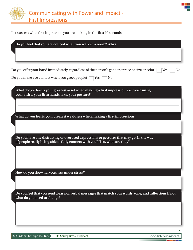



Let's assess what first impression you are making in the first 10 seconds.

| Do you feel that you are noticed when you walk in a room? Why?                                                                               |
|----------------------------------------------------------------------------------------------------------------------------------------------|
|                                                                                                                                              |
|                                                                                                                                              |
| Do you offer your hand immediately, regardless of the person's gender or race or size or color?<br>No<br>Yes                                 |
| Do you make eye contact when you greet people?<br>N <sub>0</sub><br>Yes                                                                      |
| What do you feel is your greatest asset when making a first impression, i.e., your smile,<br>your attire, your firm handshake, your posture? |
|                                                                                                                                              |
| What do you feel is your greatest weakness when making a first impression?                                                                   |
|                                                                                                                                              |
| Do you have any distracting or overused expressions or gestures that may get in the way                                                      |
| of people really being able to fully connect with you? If so, what are they?                                                                 |
|                                                                                                                                              |
|                                                                                                                                              |
|                                                                                                                                              |
| How do you show nervousness under stress?                                                                                                    |
|                                                                                                                                              |
| Do you feel that you send clear nonverbal messages that match your words, tone, and inflection? If not,                                      |
| what do you need to change?                                                                                                                  |
|                                                                                                                                              |
|                                                                                                                                              |
|                                                                                                                                              |
| $\overline{2}$                                                                                                                               |

٦f

<u> Tanzania (</u>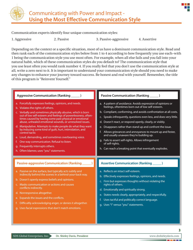

Communication experts identify four unique communication styles:

1. Aggressive 2. Passive 3. Passive-aggressive 4. Assertive

Depending on the context or a specific situation, most of us have a dominant communication style. Read and then rank each of the communication styles below from 1 to 4 according to how frequently you use each–with 1 being the communication style you use most often. For example, when all else fails and you fall into your natural habit, which of these communication styles do you default to? The communication style that you use least often you would rank number 4. If you really feel that you don't use the communication style at all, write a zero next to it. It is important to understand your communication style should you need to make any changes to enhance your journey toward success. Be honest and real with yourself. Remember, the title of this program is "Reinvent Yourself."



n.

3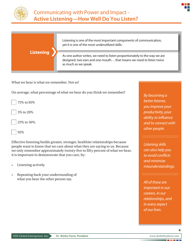

## **Listening**

Listening is one of the most important components of communication, yet it is one of the most underutilized skills.

As one author writes, we need to listen proportionately to the way we are designed, two ears and one mouth… that means we need to listen twice as much as we speak.

What we hear is what we remember. Not so!

On average, what percentage of what we hear do you think we remember?



Effective listening builds greater, stronger, healthier relationships because people want to know that we care about what they are saying to us. Because we only remember approximately twenty-five to fifty percent of what we hear, it is important to demonstrate that you care, by:

- » Listening actively.
- » Repeating back your understanding of what you hear the other person say.

*By becoming a better listener, you improve your productivity, your ability to influence and to connect with other people.*

*Listening skills can also help you to avoid conflicts and minimize misunderstandings.*

*All of these are important in our careers, in our relationships, and in every aspect of our lives.*